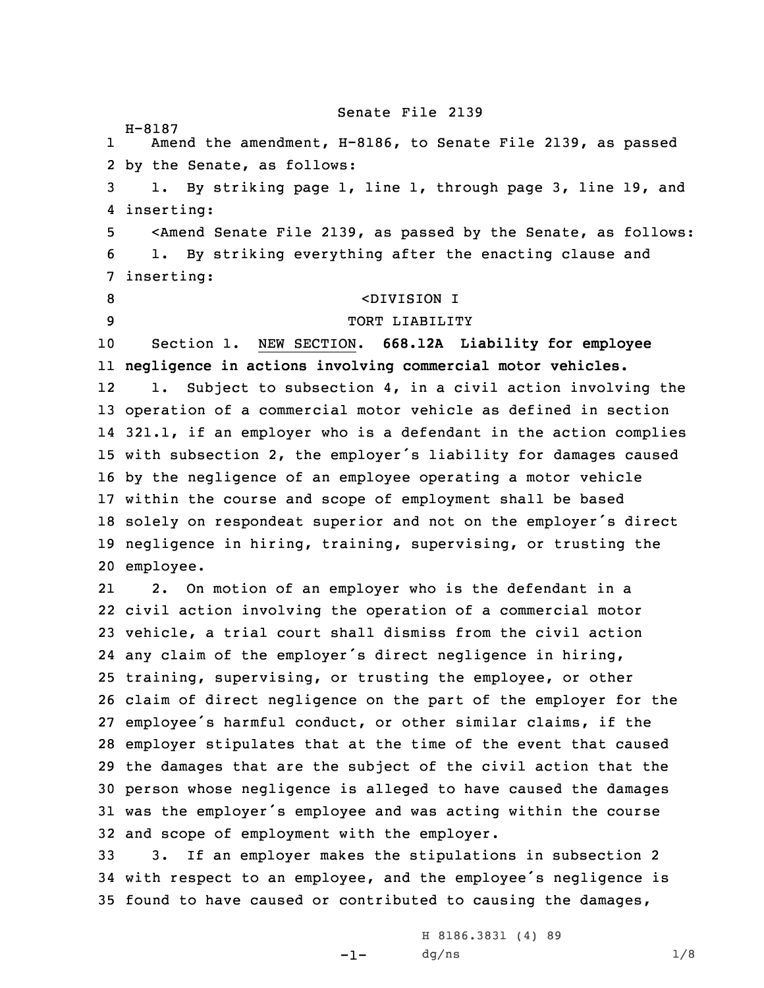Senate File 2139

H-8187 1 Amend the amendment, H-8186, to Senate File 2139, as passed by the Senate, as follows: 1. By striking page 1, line 1, through page 3, line 19, and inserting: <Amend Senate File 2139, as passed by the Senate, as follows: 1. By striking everything after the enacting clause and inserting: <DIVISION I 9 TORT LIABILITY Section 1. NEW SECTION. **668.12A Liability for employee negligence in actions involving commercial motor vehicles.** 12 1. Subject to subsection 4, in <sup>a</sup> civil action involving the operation of <sup>a</sup> commercial motor vehicle as defined in section 321.1, if an employer who is <sup>a</sup> defendant in the action complies with subsection 2, the employer's liability for damages caused by the negligence of an employee operating <sup>a</sup> motor vehicle within the course and scope of employment shall be based solely on respondeat superior and not on the employer's direct negligence in hiring, training, supervising, or trusting the employee. 21 2. On motion of an employer who is the defendant in <sup>a</sup> civil action involving the operation of <sup>a</sup> commercial motor vehicle, <sup>a</sup> trial court shall dismiss from the civil action any claim of the employer's direct negligence in hiring, training, supervising, or trusting the employee, or other claim of direct negligence on the part of the employer for the employee's harmful conduct, or other similar claims, if the employer stipulates that at the time of the event that caused the damages that are the subject of the civil action that the person whose negligence is alleged to have caused the damages was the employer's employee and was acting within the course and scope of employment with the employer. 3. If an employer makes the stipulations in subsection 2 with respect to an employee, and the employee's negligence is

35 found to have caused or contributed to causing the damages,

 $-1-$ 

H 8186.3831 (4) 89  $dg/ns$  1/8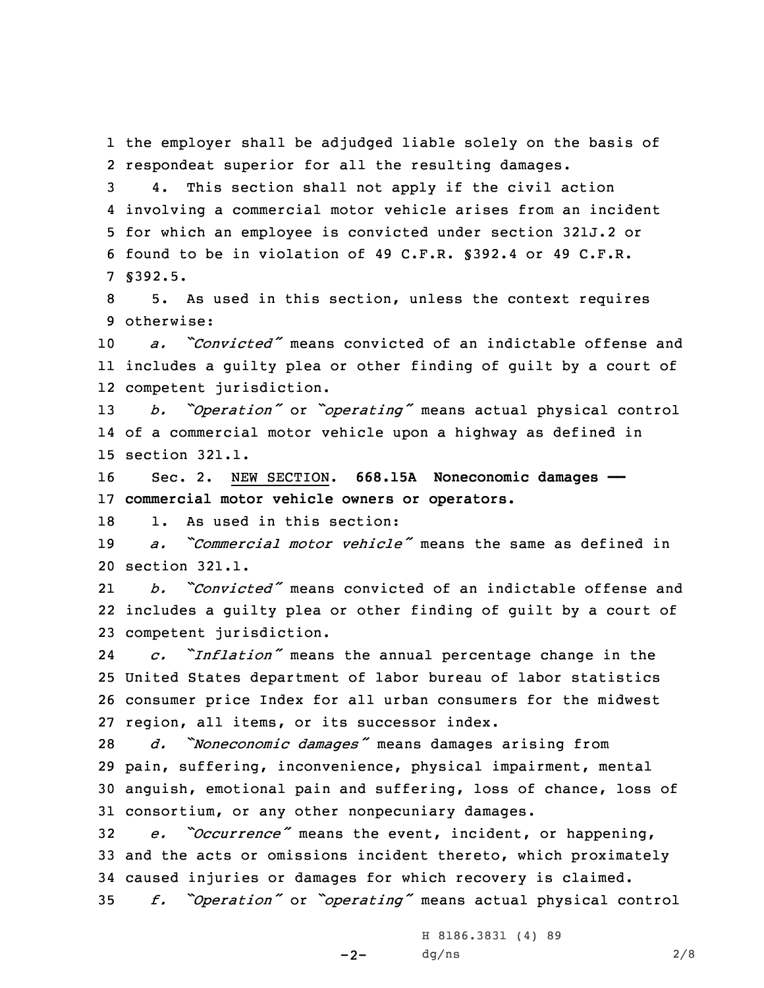1 the employer shall be adjudged liable solely on the basis of 2 respondeat superior for all the resulting damages.

 4. This section shall not apply if the civil action involving <sup>a</sup> commercial motor vehicle arises from an incident for which an employee is convicted under section 321J.2 or found to be in violation of 49 C.F.R. §392.4 or 49 C.F.R. 7 §392.5.

8 5. As used in this section, unless the context requires 9 otherwise:

10 *a. "Convicted"* means convicted of an indictable offense and 11 includes <sup>a</sup> guilty plea or other finding of guilt by <sup>a</sup> court of 12 competent jurisdiction.

<sup>13</sup> *b. "Operation"* or *"operating"* means actual physical control 14 of <sup>a</sup> commercial motor vehicle upon <sup>a</sup> highway as defined in 15 section 321.1.

16 Sec. 2. NEW SECTION. **668.15A Noneconomic damages ——** 17 **commercial motor vehicle owners or operators.**

18 1. As used in this section:

19 *a. "Commercial motor vehicle"* means the same as defined in 20 section 321.1.

21 *b. "Convicted"* means convicted of an indictable offense and 22 includes <sup>a</sup> guilty plea or other finding of guilt by <sup>a</sup> court of 23 competent jurisdiction.

24 *c. "Inflation"* means the annual percentage change in the 25 United States department of labor bureau of labor statistics 26 consumer price Index for all urban consumers for the midwest 27 region, all items, or its successor index.

 *d. "Noneconomic damages"* means damages arising from pain, suffering, inconvenience, physical impairment, mental anguish, emotional pain and suffering, loss of chance, loss of consortium, or any other nonpecuniary damages.

 *e. "Occurrence"* means the event, incident, or happening, and the acts or omissions incident thereto, which proximately caused injuries or damages for which recovery is claimed. *f. "Operation"* or *"operating"* means actual physical control

 $-2-$ 

H 8186.3831 (4) 89  $dg/ns$  2/8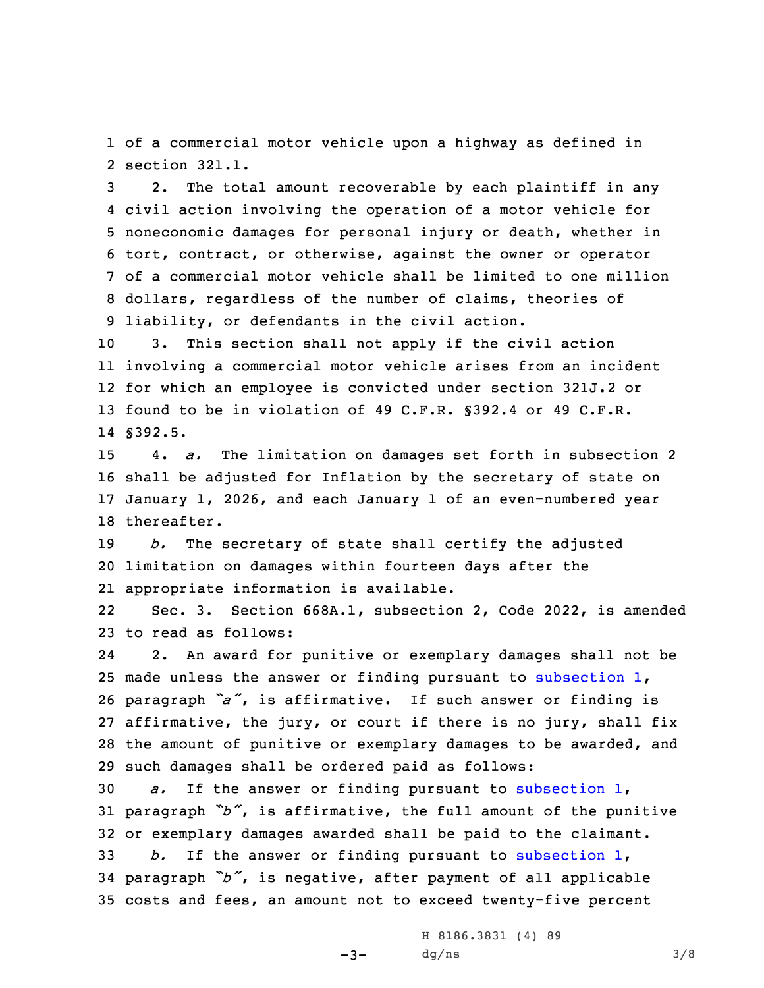1 of <sup>a</sup> commercial motor vehicle upon <sup>a</sup> highway as defined in 2 section 321.1.

 2. The total amount recoverable by each plaintiff in any civil action involving the operation of <sup>a</sup> motor vehicle for noneconomic damages for personal injury or death, whether in tort, contract, or otherwise, against the owner or operator of <sup>a</sup> commercial motor vehicle shall be limited to one million dollars, regardless of the number of claims, theories of liability, or defendants in the civil action.

 3. This section shall not apply if the civil action involving <sup>a</sup> commercial motor vehicle arises from an incident for which an employee is convicted under section 321J.2 or found to be in violation of 49 C.F.R. §392.4 or 49 C.F.R. 14 §392.5.

 4. *a.* The limitation on damages set forth in subsection 2 shall be adjusted for Inflation by the secretary of state on January 1, 2026, and each January 1 of an even-numbered year thereafter.

19 *b.* The secretary of state shall certify the adjusted 20 limitation on damages within fourteen days after the 21 appropriate information is available.

22 Sec. 3. Section 668A.1, subsection 2, Code 2022, is amended 23 to read as follows:

24 2. An award for punitive or exemplary damages shall not be 25 made unless the answer or finding pursuant to [subsection](https://www.legis.iowa.gov/docs/code/668A.1.pdf)  $1$ , <sup>26</sup> paragraph *"a"*, is affirmative. If such answer or finding is 27 affirmative, the jury, or court if there is no jury, shall fix 28 the amount of punitive or exemplary damages to be awarded, and 29 such damages shall be ordered paid as follows:

 *a.* If the answer or finding pursuant to [subsection](https://www.legis.iowa.gov/docs/code/668A.1.pdf) 1, paragraph *"b"*, is affirmative, the full amount of the punitive or exemplary damages awarded shall be paid to the claimant. *b.* If the answer or finding pursuant to [subsection](https://www.legis.iowa.gov/docs/code/668A.1.pdf) 1, paragraph *"b"*, is negative, after payment of all applicable costs and fees, an amount not to exceed twenty-five percent

-3-

H 8186.3831 (4) 89  $dg/ns$  3/8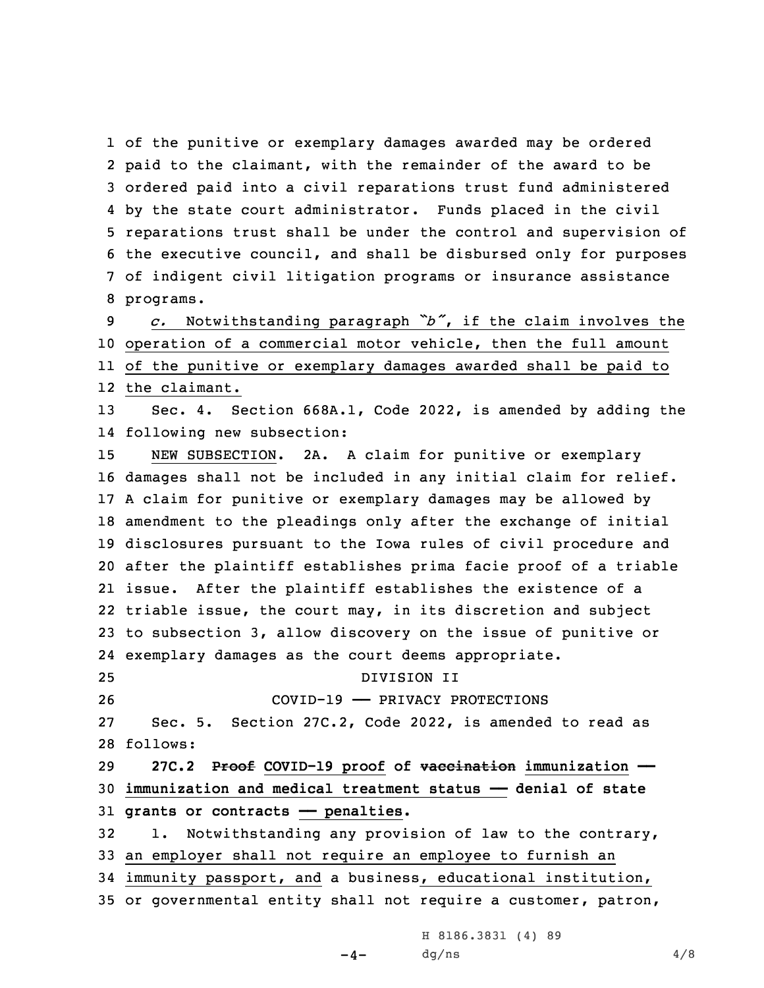of the punitive or exemplary damages awarded may be ordered paid to the claimant, with the remainder of the award to be ordered paid into <sup>a</sup> civil reparations trust fund administered by the state court administrator. Funds placed in the civil reparations trust shall be under the control and supervision of the executive council, and shall be disbursed only for purposes of indigent civil litigation programs or insurance assistance programs.

 *c.* Notwithstanding paragraph *"b"*, if the claim involves the operation of <sup>a</sup> commercial motor vehicle, then the full amount of the punitive or exemplary damages awarded shall be paid to the claimant.

13 Sec. 4. Section 668A.1, Code 2022, is amended by adding the 14 following new subsection:

 NEW SUBSECTION. 2A. <sup>A</sup> claim for punitive or exemplary damages shall not be included in any initial claim for relief. <sup>A</sup> claim for punitive or exemplary damages may be allowed by amendment to the pleadings only after the exchange of initial disclosures pursuant to the Iowa rules of civil procedure and after the plaintiff establishes prima facie proof of <sup>a</sup> triable issue. After the plaintiff establishes the existence of <sup>a</sup> triable issue, the court may, in its discretion and subject to subsection 3, allow discovery on the issue of punitive or exemplary damages as the court deems appropriate. DIVISION II COVID-19 —— PRIVACY PROTECTIONS Sec. 5. Section 27C.2, Code 2022, is amended to read as

28 follows:

29 **27C.2 Proof COVID-19 proof of vaccination immunization ——** 30 **immunization and medical treatment status —— denial of state** 31 **grants or contracts —— penalties.**

 1. Notwithstanding any provision of law to the contrary, an employer shall not require an employee to furnish an immunity passport, and <sup>a</sup> business, educational institution, or governmental entity shall not require <sup>a</sup> customer, patron,

 $-4-$ 

H 8186.3831 (4) 89  $dg/ns$  4/8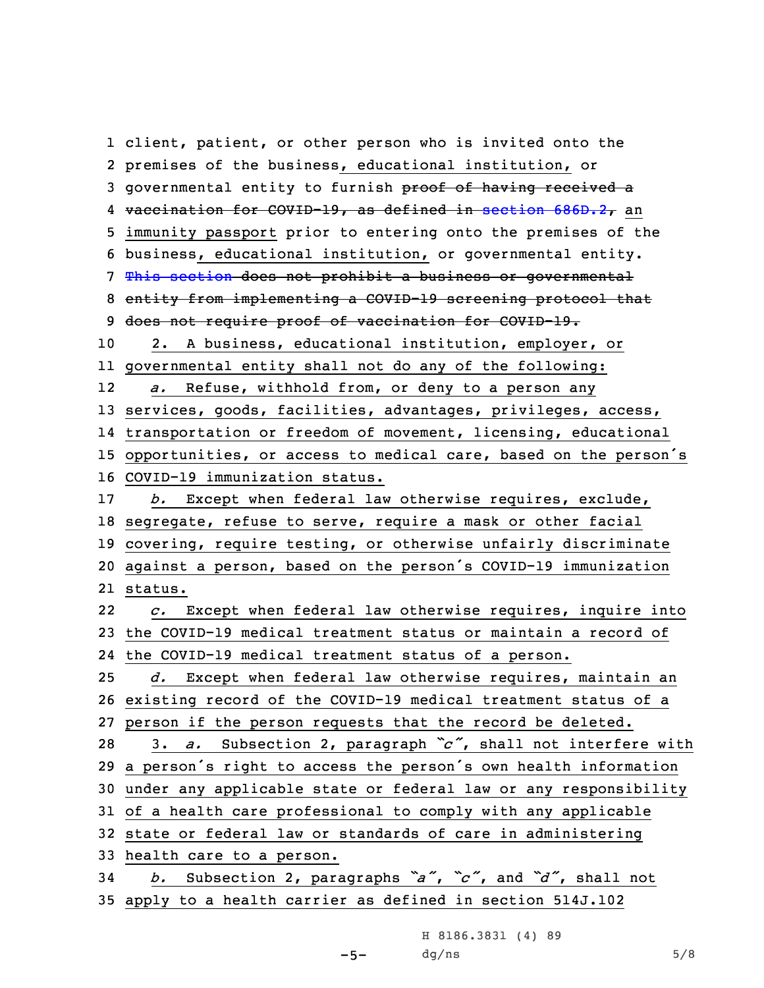client, patient, or other person who is invited onto the premises of the business, educational institution, or 3 governmental entity to furnish proof of having received a 4 <del>vaccination for COVID-19, as defined in section  $686D.2$ ,</del> an immunity passport prior to entering onto the premises of the business, educational institution, or governmental entity. This [section](https://www.legis.iowa.gov/docs/code/27C.2.pdf) does not prohibit <sup>a</sup> business or governmental entity from implementing <sup>a</sup> COVID-19 screening protocol that 9 does not require proof of vaccination for COVID-19. 2. <sup>A</sup> business, educational institution, employer, or governmental entity shall not do any of the following: 12 *a.* Refuse, withhold from, or deny to <sup>a</sup> person any services, goods, facilities, advantages, privileges, access, transportation or freedom of movement, licensing, educational opportunities, or access to medical care, based on the person's COVID-19 immunization status. *b.* Except when federal law otherwise requires, exclude, segregate, refuse to serve, require <sup>a</sup> mask or other facial covering, require testing, or otherwise unfairly discriminate against <sup>a</sup> person, based on the person's COVID-19 immunization 21 status. 22 *c.* Except when federal law otherwise requires, inquire into the COVID-19 medical treatment status or maintain <sup>a</sup> record of the COVID-19 medical treatment status of <sup>a</sup> person. *d.* Except when federal law otherwise requires, maintain an existing record of the COVID-19 medical treatment status of <sup>a</sup> person if the person requests that the record be deleted. 3. *a.* Subsection 2, paragraph *"c"*, shall not interfere with <sup>a</sup> person's right to access the person's own health information under any applicable state or federal law or any responsibility of <sup>a</sup> health care professional to comply with any applicable state or federal law or standards of care in administering health care to <sup>a</sup> person. *b.* Subsection 2, paragraphs *"a"*, *"c"*, and *"d"*, shall not apply to <sup>a</sup> health carrier as defined in section 514J.102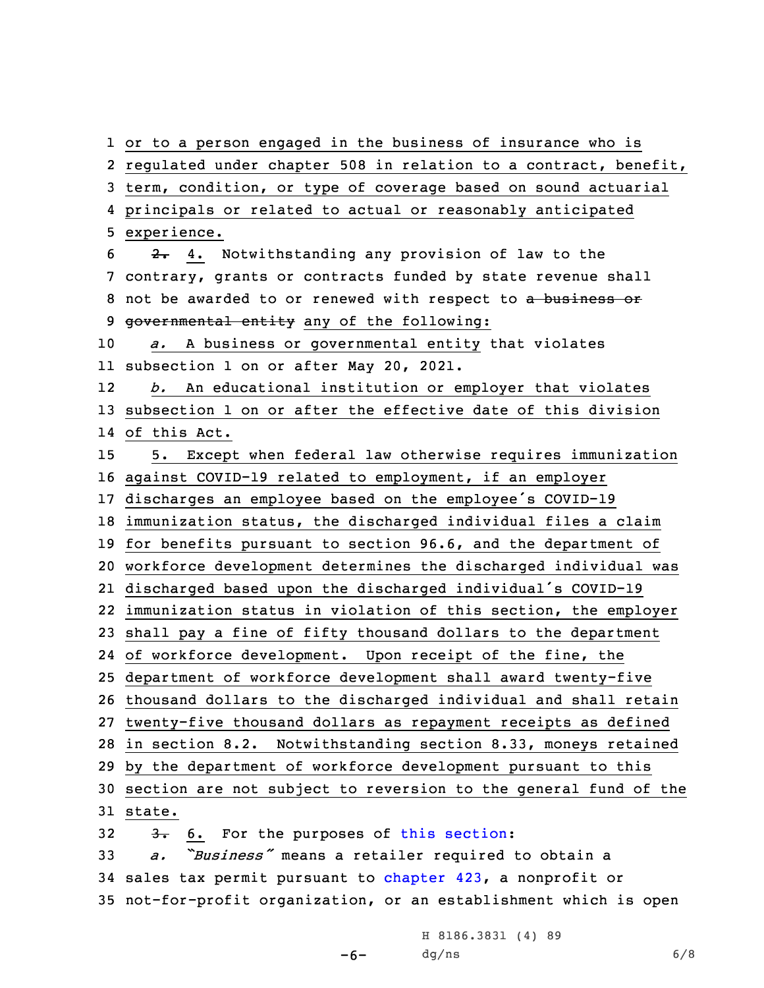or to <sup>a</sup> person engaged in the business of insurance who is regulated under chapter 508 in relation to <sup>a</sup> contract, benefit, term, condition, or type of coverage based on sound actuarial principals or related to actual or reasonably anticipated experience. 2. 4. Notwithstanding any provision of law to the contrary, grants or contracts funded by state revenue shall 8 not be awarded to or renewed with respect to a business or 9 governmental entity any of the following: *a.* <sup>A</sup> business or governmental entity that violates subsection 1 on or after May 20, 2021. 12 *b.* An educational institution or employer that violates subsection 1 on or after the effective date of this division of this Act. 5. Except when federal law otherwise requires immunization against COVID-19 related to employment, if an employer discharges an employee based on the employee's COVID-19 immunization status, the discharged individual files <sup>a</sup> claim for benefits pursuant to section 96.6, and the department of workforce development determines the discharged individual was discharged based upon the discharged individual's COVID-19 immunization status in violation of this section, the employer shall pay <sup>a</sup> fine of fifty thousand dollars to the department of workforce development. Upon receipt of the fine, the department of workforce development shall award twenty-five thousand dollars to the discharged individual and shall retain twenty-five thousand dollars as repayment receipts as defined in section 8.2. Notwithstanding section 8.33, moneys retained by the department of workforce development pursuant to this section are not subject to reversion to the general fund of the 31 state.  $3.6$ . For the purposes of this [section](https://www.legis.iowa.gov/docs/code/27C.2.pdf): *a. "Business"* means <sup>a</sup> retailer required to obtain <sup>a</sup> sales tax permit pursuant to [chapter](https://www.legis.iowa.gov/docs/code//423.pdf) 423, <sup>a</sup> nonprofit or

35 not-for-profit organization, or an establishment which is open

-6- dg/ns 6/8H 8186.3831 (4) 89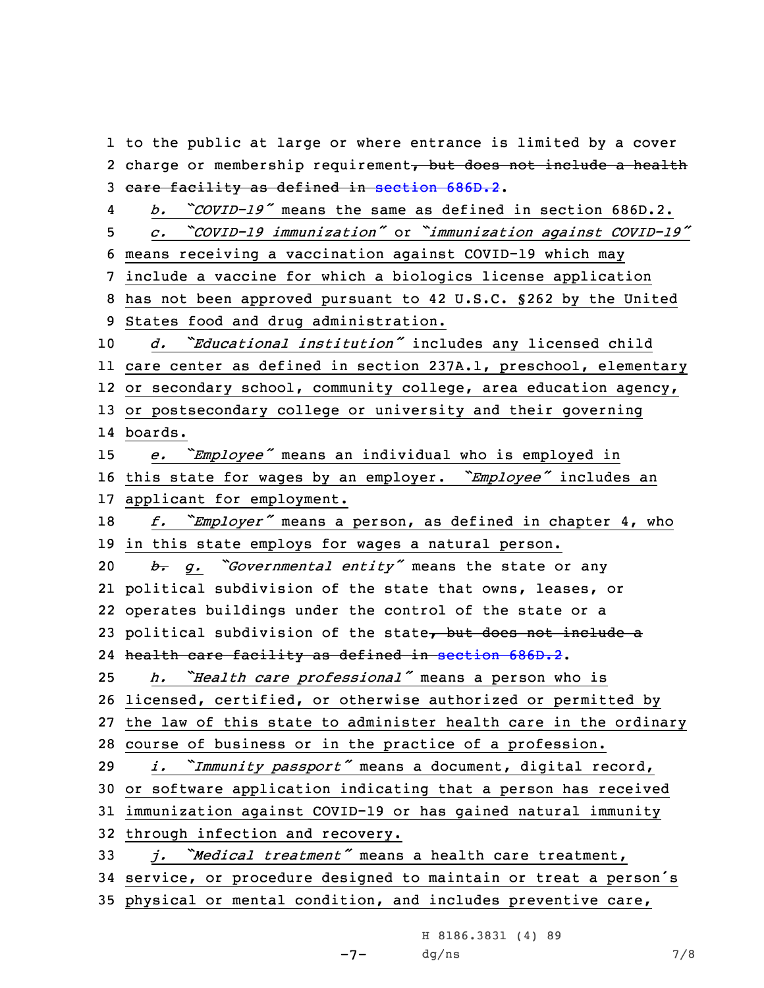1 to the public at large or where entrance is limited by <sup>a</sup> cover 2 charge or membership requirement, but does not include a health 3 care facility as defined in [section](https://www.legis.iowa.gov/docs/code/686D.2.pdf) 686D.2.

4 *b. "COVID-19"* means the same as defined in section 686D.2. *c. "COVID-19 immunization"* or *"immunization against COVID-19"* means receiving <sup>a</sup> vaccination against COVID-19 which may include <sup>a</sup> vaccine for which <sup>a</sup> biologics license application has not been approved pursuant to 42 U.S.C. §262 by the United States food and drug administration. *d. "Educational institution"* includes any licensed child care center as defined in section 237A.1, preschool, elementary 12 or secondary school, community college, area education agency, or postsecondary college or university and their governing

14 boards.

<sup>15</sup> *e. "Employee"* means an individual who is employed in

<sup>16</sup> this state for wages by an employer. *"Employee"* includes an 17 applicant for employment.

<sup>18</sup> *f. "Employer"* means <sup>a</sup> person, as defined in chapter 4, who 19 in this state employs for wages <sup>a</sup> natural person.

 *b. g. "Governmental entity"* means the state or any political subdivision of the state that owns, leases, or operates buildings under the control of the state or <sup>a</sup> 23 political subdivision of the state, but does not include a health care facility as defined in [section](https://www.legis.iowa.gov/docs/code/686D.2.pdf) 686D.2.

<sup>25</sup> *h. "Health care professional"* means <sup>a</sup> person who is

26 licensed, certified, or otherwise authorized or permitted by

27 the law of this state to administer health care in the ordinary

28 course of business or in the practice of <sup>a</sup> profession.

<sup>29</sup> *i. "Immunity passport"* means <sup>a</sup> document, digital record,

30 or software application indicating that <sup>a</sup> person has received

31 immunization against COVID-19 or has gained natural immunity

32 through infection and recovery.

<sup>33</sup> *j. "Medical treatment"* means <sup>a</sup> health care treatment, <sup>34</sup> service, or procedure designed to maintain or treat <sup>a</sup> person's 35 physical or mental condition, and includes preventive care,

> -7- H 8186.3831 (4) 89  $dg/ns$  7/8